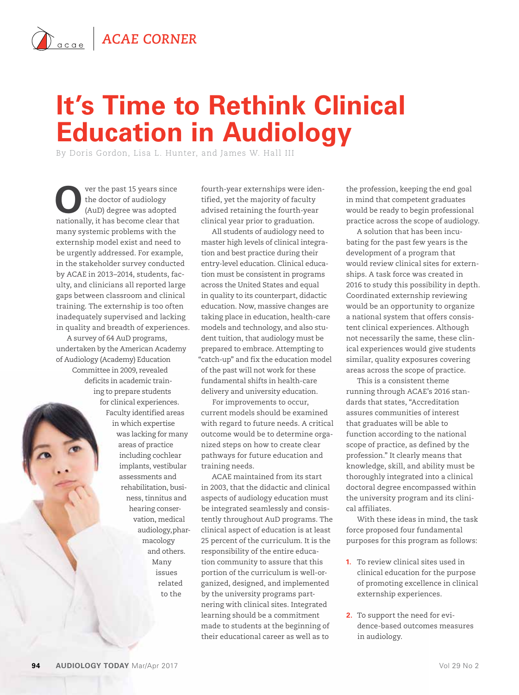## $\sum_{\text{acge}}$  **ACAE CORNER**

## **It's Time to Rethink Clinical Education in Audiology**

By Doris Gordon, Lisa L. Hunter, and James W. Hall III

ver the past 15 years since the doctor of audiology (AuD) degree was adopted nationally, it has become clear that many systemic problems with the externship model exist and need to be urgently addressed. For example, in the stakeholder survey conducted by ACAE in 2013–2014, students, faculty, and clinicians all reported large gaps between classroom and clinical training. The externship is too often inadequately supervised and lacking in quality and breadth of experiences.

A survey of 64 AuD programs, undertaken by the American Academy of Audiology (Academy) Education Committee in 2009, revealed deficits in academic training to prepare students for clinical experiences. Faculty identified areas in which expertise was lacking for many areas of practice including cochlear implants, vestibular assessments and rehabilitation, business, tinnitus and hearing conservation, medical audiology, pharmacology and others. Many issues related to the

fourth-year externships were identified, yet the majority of faculty advised retaining the fourth-year clinical year prior to graduation.

All students of audiology need to master high levels of clinical integration and best practice during their entry-level education. Clinical education must be consistent in programs across the United States and equal in quality to its counterpart, didactic education. Now, massive changes are taking place in education, health-care models and technology, and also student tuition, that audiology must be prepared to embrace. Attempting to "catch-up" and fix the education model of the past will not work for these fundamental shifts in health-care delivery and university education.

For improvements to occur, current models should be examined with regard to future needs. A critical outcome would be to determine organized steps on how to create clear pathways for future education and training needs.

ACAE maintained from its start in 2003, that the didactic and clinical aspects of audiology education must be integrated seamlessly and consistently throughout AuD programs. The clinical aspect of education is at least 25 percent of the curriculum. It is the responsibility of the entire education community to assure that this portion of the curriculum is well-organized, designed, and implemented by the university programs partnering with clinical sites. Integrated learning should be a commitment made to students at the beginning of their educational career as well as to

the profession, keeping the end goal in mind that competent graduates would be ready to begin professional practice across the scope of audiology.

A solution that has been incubating for the past few years is the development of a program that would review clinical sites for externships. A task force was created in 2016 to study this possibility in depth. Coordinated externship reviewing would be an opportunity to organize a national system that offers consistent clinical experiences. Although not necessarily the same, these clinical experiences would give students similar, quality exposures covering areas across the scope of practice.

This is a consistent theme running through ACAE's 2016 standards that states, "Accreditation assures communities of interest that graduates will be able to function according to the national scope of practice, as defined by the profession." It clearly means that knowledge, skill, and ability must be thoroughly integrated into a clinical doctoral degree encompassed within the university program and its clinical affiliates.

With these ideas in mind, the task force proposed four fundamental purposes for this program as follows:

- **1.** To review clinical sites used in clinical education for the purpose of promoting excellence in clinical externship experiences.
- **2.** To support the need for evidence-based outcomes measures in audiology.